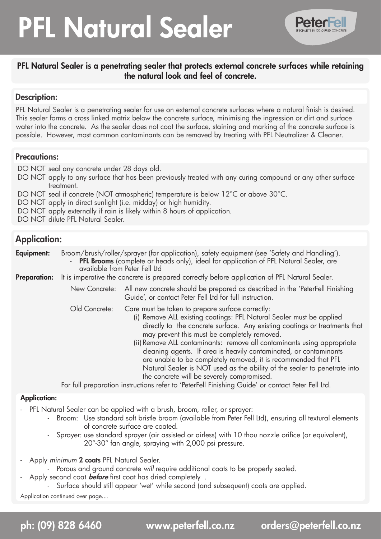# PFL Natural Sealer



### PFL Natural Sealer is a penetrating sealer that protects external concrete surfaces while retaining the natural look and feel of concrete.

#### Description:

PFL Natural Sealer is a penetrating sealer for use on external concrete surfaces where a natural finish is desired. This sealer forms a cross linked matrix below the concrete surface, minimising the ingression or dirt and surface water into the concrete. As the sealer does not coat the surface, staining and marking of the concrete surface is possible. However, most common contaminants can be removed by treating with PFL Neutralizer & Cleaner.

#### Precautions:

DO NOT seal any concrete under 28 days old.

- DO NOT apply to any surface that has been previously treated with any curing compound or any other surface treatment.
- DO NOT seal if concrete (NOT atmospheric) temperature is below 12°C or above 30°C.
- DO NOT apply in direct sunlight (i.e. midday) or high humidity.
- DO NOT apply externally if rain is likely within 8 hours of application.
- DO NOT dilute PFL Natural Sealer.

## Application:

**Equipment:** Broom/brush/roller/sprayer (for application), safety equipment (see 'Safety and Handling'). PFL Brooms (complete or heads only), ideal for application of PFL Natural Sealer, are

 available from Peter Fell Ltd

Preparation: It is imperative the concrete is prepared correctly before application of PFL Natural Sealer.

New Concrete: All new concrete should be prepared as described in the 'PeterFell Finishing Guide', or contact Peter Fell Ltd for full instruction.

Old Concrete: Care must be taken to prepare surface correctly:

- (i) Remove ALL existing coatings: PFL Natural Sealer must be applied directly to the concrete surface. Any existing coatings or treatments that may prevent this must be completely removed.
- (ii) Remove ALL contaminants: remove all contaminants using appropriate cleaning agents. If area is heavily contaminated, or contaminants are unable to be completely removed, it is recommended that PFL Natural Sealer is NOT used as the ability of the sealer to penetrate into the concrete will be severely compromised.

 For full preparation instructions refer to 'PeterFell Finishing Guide' or contact Peter Fell Ltd.

#### Application:

- PFL Natural Sealer can be applied with a brush, broom, roller, or sprayer:
	- Broom: Use standard soft bristle broom (available from Peter Fell Ltd), ensuring all textural elements of concrete surface are coated.
	- Sprayer: use standard sprayer (air assisted or airless) with 10 thou nozzle orifice (or equivalent), 20°-30° fan angle, spraying with 2,000 psi pressure.
- Apply *minimum* 2 coats PFL Natural Sealer.
	- Porous and ground concrete will require additional coats to be properly sealed.
	- Apply second coat **before** first coat has dried completely .
		- Surface should still appear 'wet' while second (and subsequent) coats are applied.

Application continued over page....

ph: (09) 828 6460 www.peterfell.co.nz orders@peterfell.co.nz